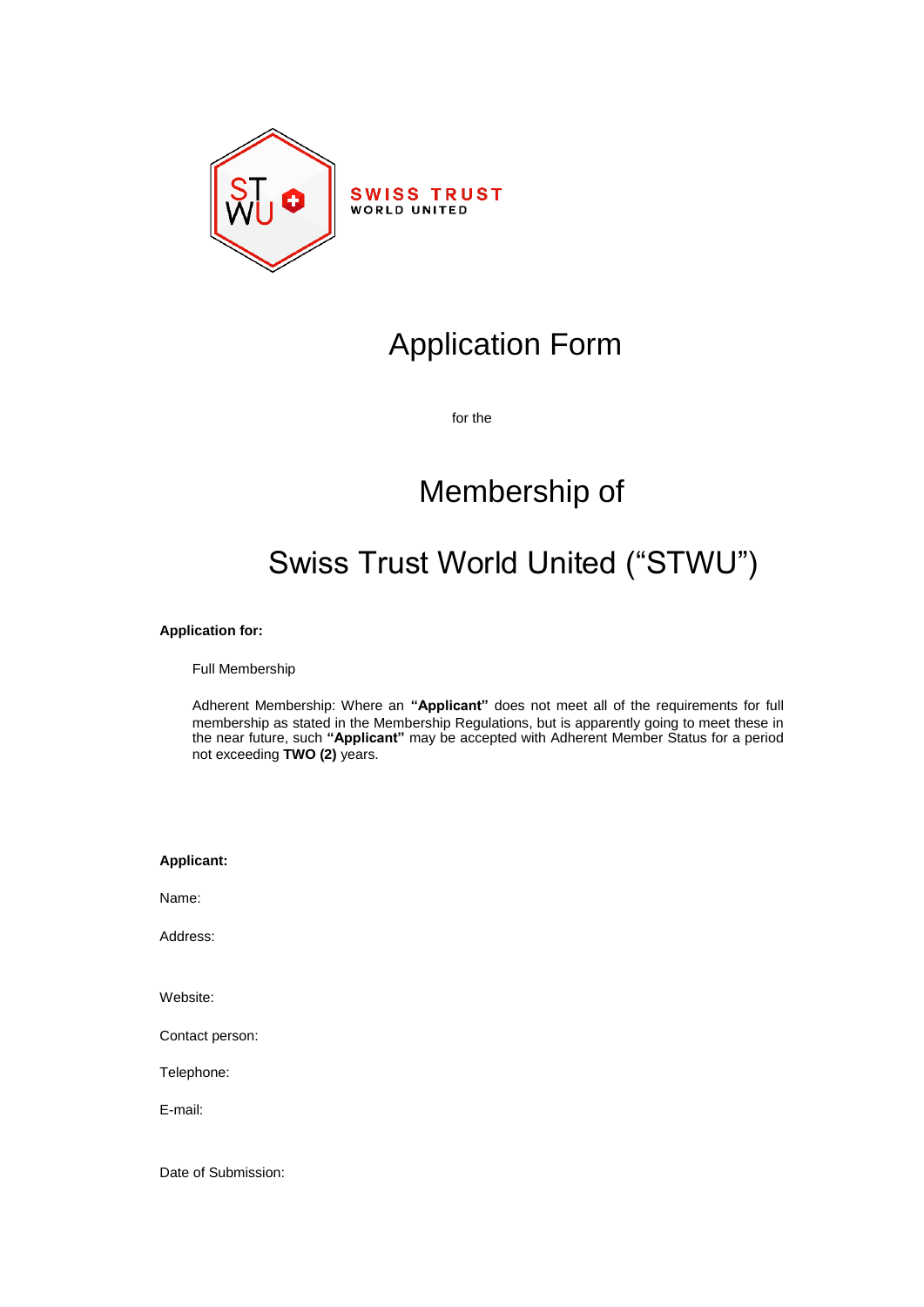

# Application Form

for the

# Membership of

# Swiss Trust World United ("STWU")

# **Application for:**

Full Membership

Adherent Membership: Where an **"Applicant"** does not meet all of the requirements for full membership as stated in the Membership Regulations, but is apparently going to meet these in the near future, such **"Applicant"** may be accepted with Adherent Member Status for a period not exceeding **TWO (2)** years.

| <b>Applicant:</b> |
|-------------------|
| Name:             |
| Address:          |
|                   |
| Website:          |
| Contact person:   |
| Telephone:        |
| F-mail:           |
|                   |
|                   |

Date of Submission: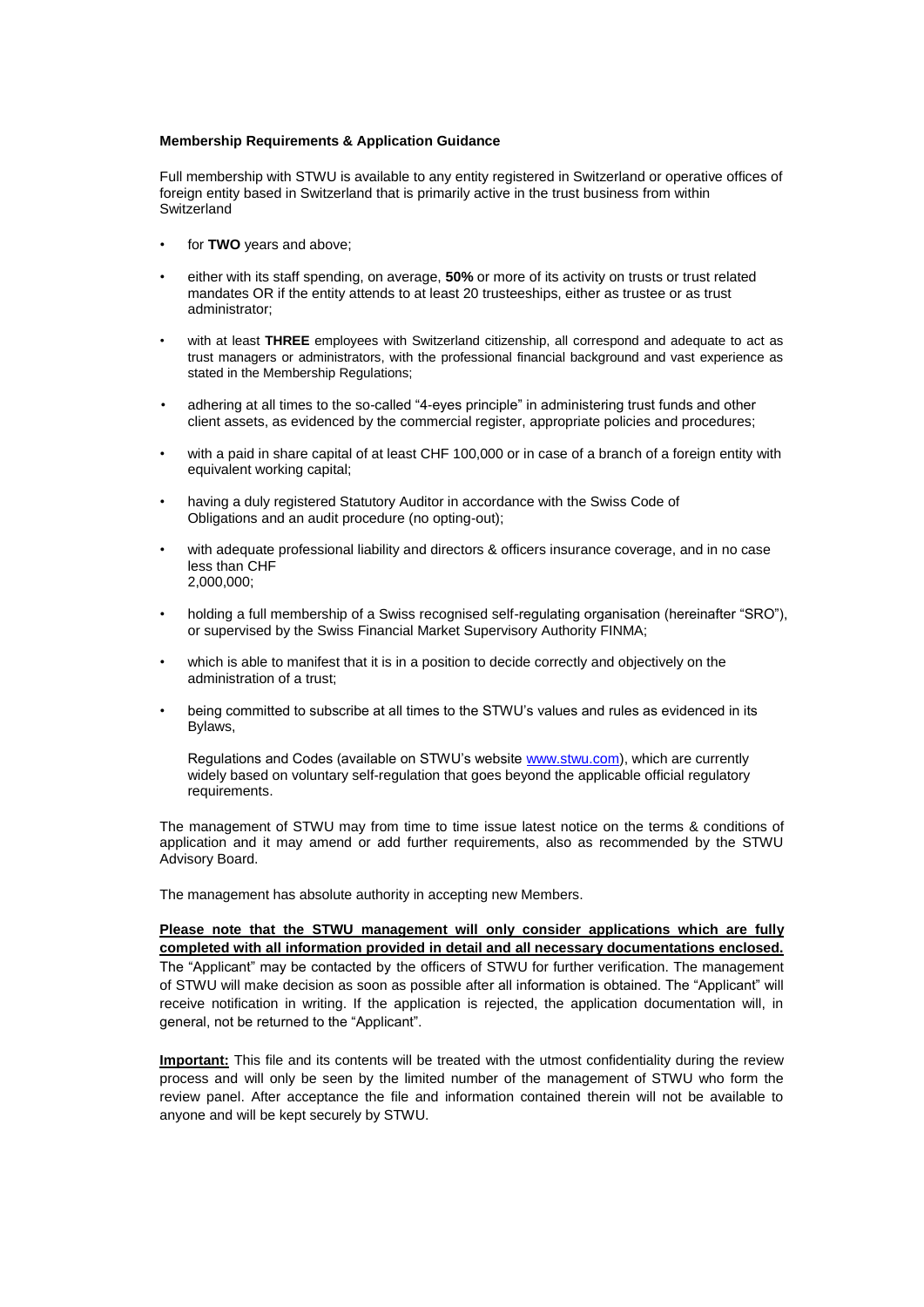#### **Membership Requirements & Application Guidance**

Full membership with STWU is available to any entity registered in Switzerland or operative offices of foreign entity based in Switzerland that is primarily active in the trust business from within **Switzerland** 

- for **TWO** years and above;
- either with its staff spending, on average, **50%** or more of its activity on trusts or trust related mandates OR if the entity attends to at least 20 trusteeships, either as trustee or as trust administrator;
- with at least **THREE** employees with Switzerland citizenship, all correspond and adequate to act as trust managers or administrators, with the professional financial background and vast experience as stated in the Membership Regulations;
- adhering at all times to the so-called "4-eyes principle" in administering trust funds and other client assets, as evidenced by the commercial register, appropriate policies and procedures;
- with a paid in share capital of at least CHF 100,000 or in case of a branch of a foreign entity with equivalent working capital;
- having a duly registered Statutory Auditor in accordance with the Swiss Code of Obligations and an audit procedure (no opting-out);
- with adequate professional liability and directors & officers insurance coverage, and in no case less than CHF 2,000,000;
- holding a full membership of a Swiss recognised self-regulating organisation (hereinafter "SRO"), or supervised by the Swiss Financial Market Supervisory Authority FINMA;
- which is able to manifest that it is in a position to decide correctly and objectively on the administration of a trust;
- being committed to subscribe at all times to the STWU's values and rules as evidenced in its Bylaws,

Regulations and Codes (available on STWU's website [www.stwu.com\)](http://www.stwu.com/), which are currently widely based on voluntary self-regulation that goes beyond the applicable official regulatory requirements.

The management of STWU may from time to time issue latest notice on the terms & conditions of application and it may amend or add further requirements, also as recommended by the STWU Advisory Board.

The management has absolute authority in accepting new Members.

**Please note that the STWU management will only consider applications which are fully completed with all information provided in detail and all necessary documentations enclosed.** The "Applicant" may be contacted by the officers of STWU for further verification. The management of STWU will make decision as soon as possible after all information is obtained. The "Applicant" will receive notification in writing. If the application is rejected, the application documentation will, in general, not be returned to the "Applicant".

**Important:** This file and its contents will be treated with the utmost confidentiality during the review process and will only be seen by the limited number of the management of STWU who form the review panel. After acceptance the file and information contained therein will not be available to anyone and will be kept securely by STWU.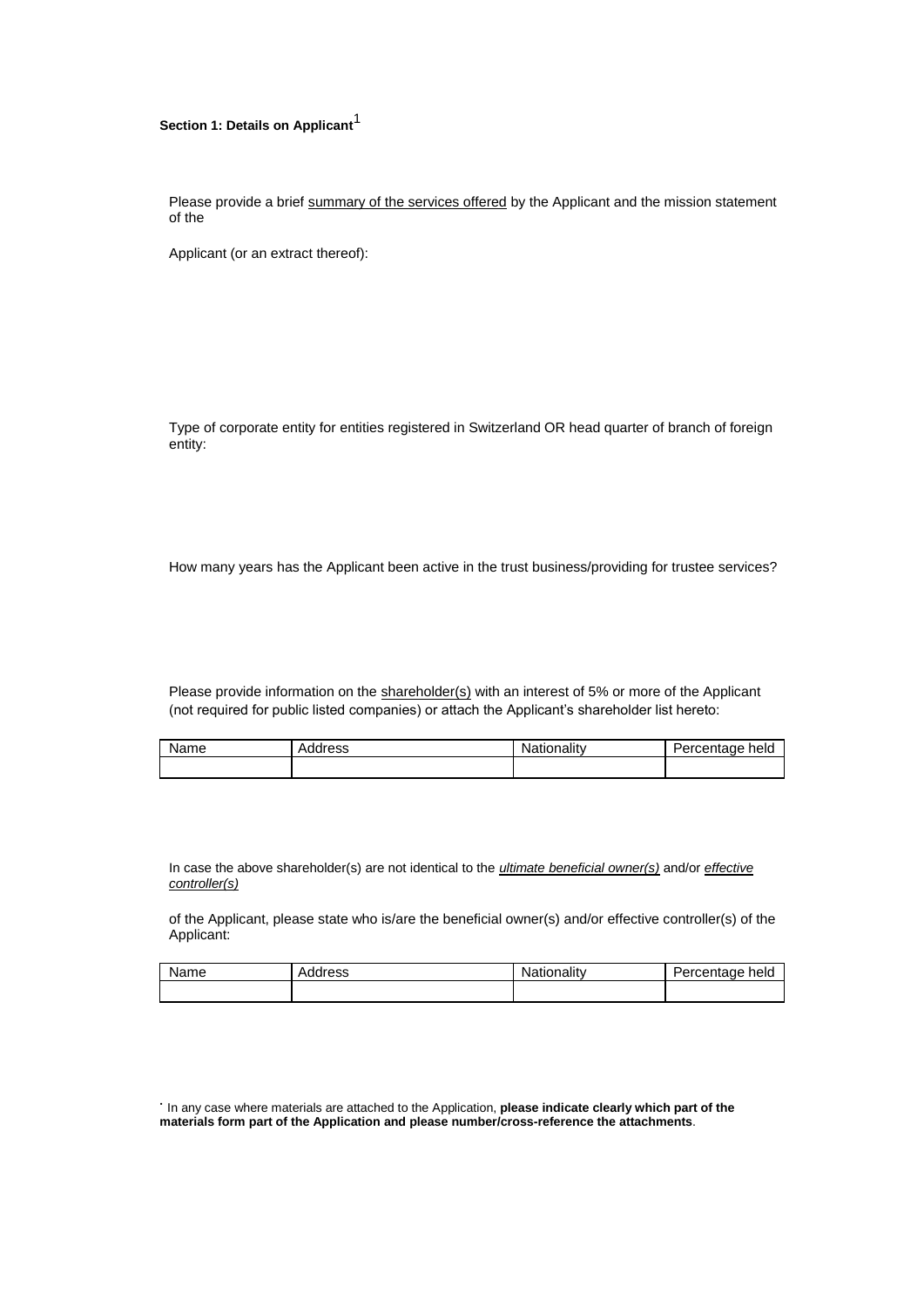# **Section 1: Details on Applicant**<sup>1</sup>

Please provide a brief summary of the services offered by the Applicant and the mission statement of the

Applicant (or an extract thereof):

Type of corporate entity for entities registered in Switzerland OR head quarter of branch of foreign entity:

How many years has the Applicant been active in the trust business/providing for trustee services?

Please provide information on the shareholder(s) with an interest of 5% or more of the Applicant (not required for public listed companies) or attach the Applicant's shareholder list hereto:

| Name | Address | Nationality | Percentage<br>hela |
|------|---------|-------------|--------------------|
|      |         |             |                    |

In case the above shareholder(s) are not identical to the *ultimate beneficial owner(s)* and/or *effective controller(s)*

of the Applicant, please state who is/are the beneficial owner(s) and/or effective controller(s) of the Applicant:

| Name | Address | Nationalitv | 'ercentage<br>held |
|------|---------|-------------|--------------------|
|      |         |             |                    |

• In any case where materials are attached to the Application, **please indicate clearly which part of the materials form part of the Application and please number/cross-reference the attachments**.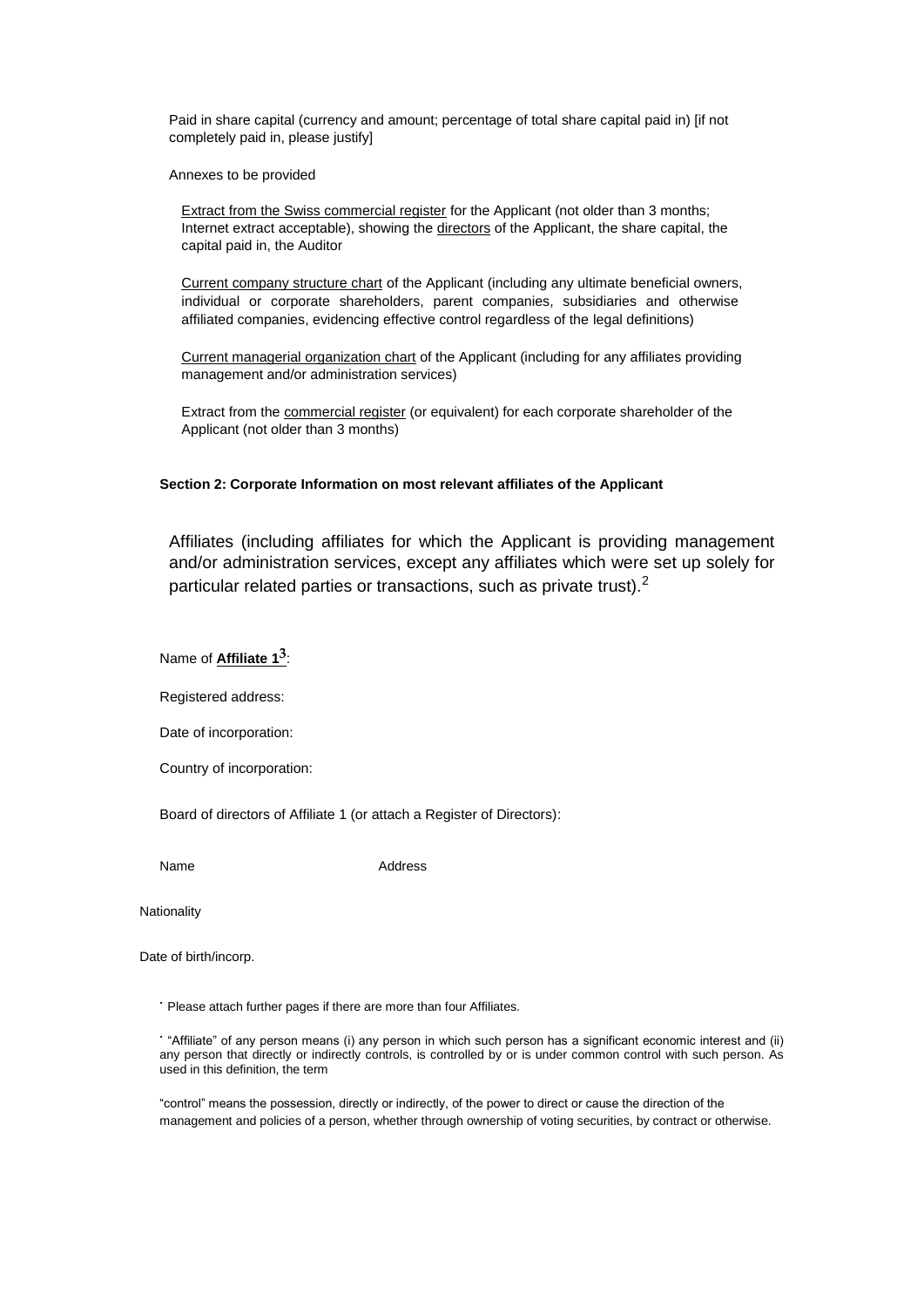Paid in share capital (currency and amount; percentage of total share capital paid in) [if not completely paid in, please justify]

Annexes to be provided

Extract from the Swiss commercial register for the Applicant (not older than 3 months; Internet extract acceptable), showing the directors of the Applicant, the share capital, the capital paid in, the Auditor

Current company structure chart of the Applicant (including any ultimate beneficial owners, individual or corporate shareholders, parent companies, subsidiaries and otherwise affiliated companies, evidencing effective control regardless of the legal definitions)

Current managerial organization chart of the Applicant (including for any affiliates providing management and/or administration services)

Extract from the commercial register (or equivalent) for each corporate shareholder of the Applicant (not older than 3 months)

### **Section 2: Corporate Information on most relevant affiliates of the Applicant**

Affiliates (including affiliates for which the Applicant is providing management and/or administration services, except any affiliates which were set up solely for particular related parties or transactions, such as private trust).<sup>2</sup>

Name of **Affiliate 13** :

Registered address:

Date of incorporation:

Country of incorporation:

Board of directors of Affiliate 1 (or attach a Register of Directors):

Name Address

**Nationality** 

Date of birth/incorp.

• Please attach further pages if there are more than four Affiliates.

• "Affiliate" of any person means (i) any person in which such person has a significant economic interest and (ii) any person that directly or indirectly controls, is controlled by or is under common control with such person. As used in this definition, the term

"control" means the possession, directly or indirectly, of the power to direct or cause the direction of the management and policies of a person, whether through ownership of voting securities, by contract or otherwise.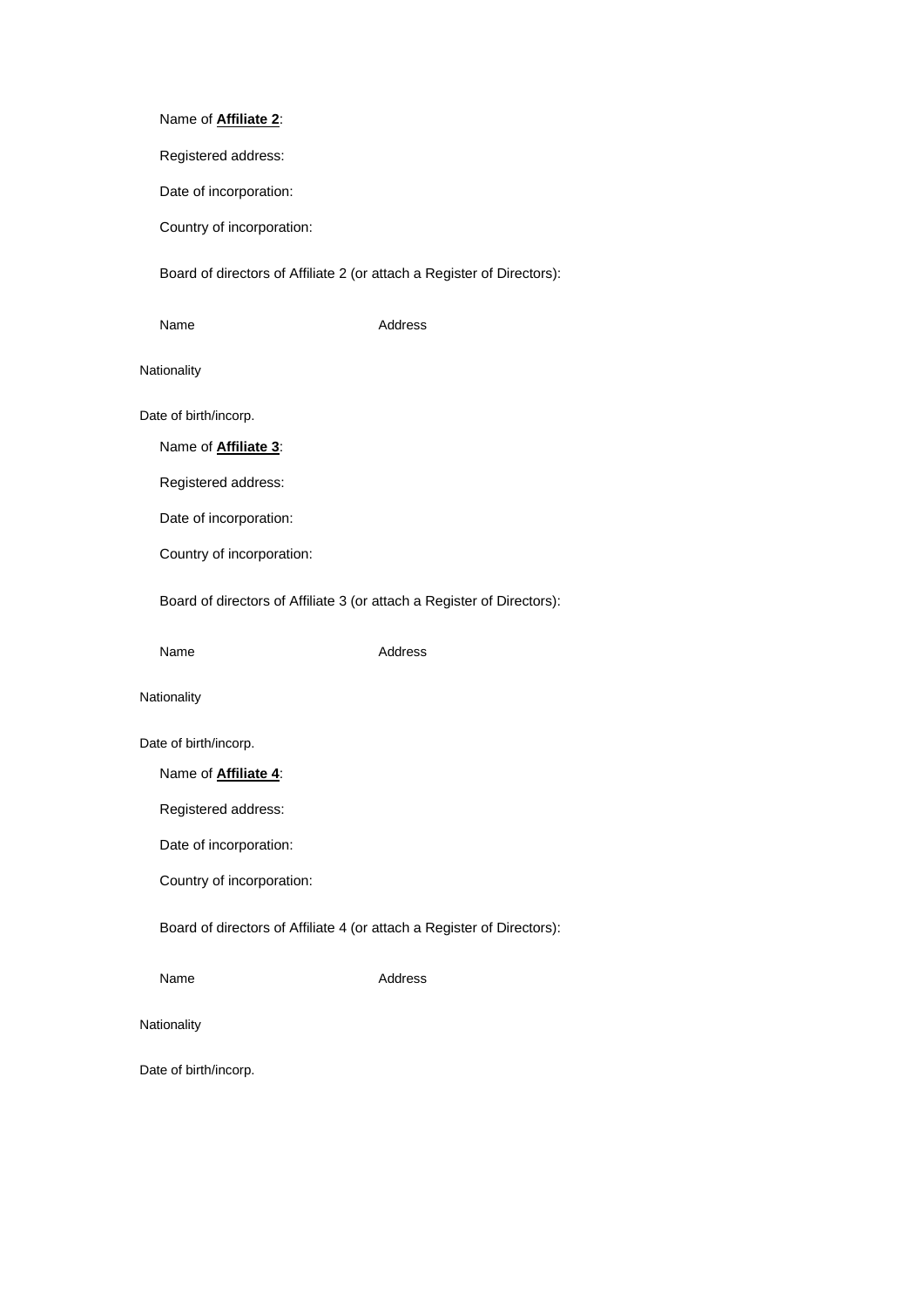# Name of **Affiliate 2**:

Registered address:

Date of incorporation:

Country of incorporation:

Board of directors of Affiliate 2 (or attach a Register of Directors):

Name Address

Nationality

Date of birth/incorp.

Name of **Affiliate 3**:

Registered address:

Date of incorporation:

Country of incorporation:

Board of directors of Affiliate 3 (or attach a Register of Directors):

Name Address

Nationality

Date of birth/incorp.

Name of **Affiliate 4**:

Registered address:

Date of incorporation:

Country of incorporation:

Board of directors of Affiliate 4 (or attach a Register of Directors):

Name Address

Nationality

Date of birth/incorp.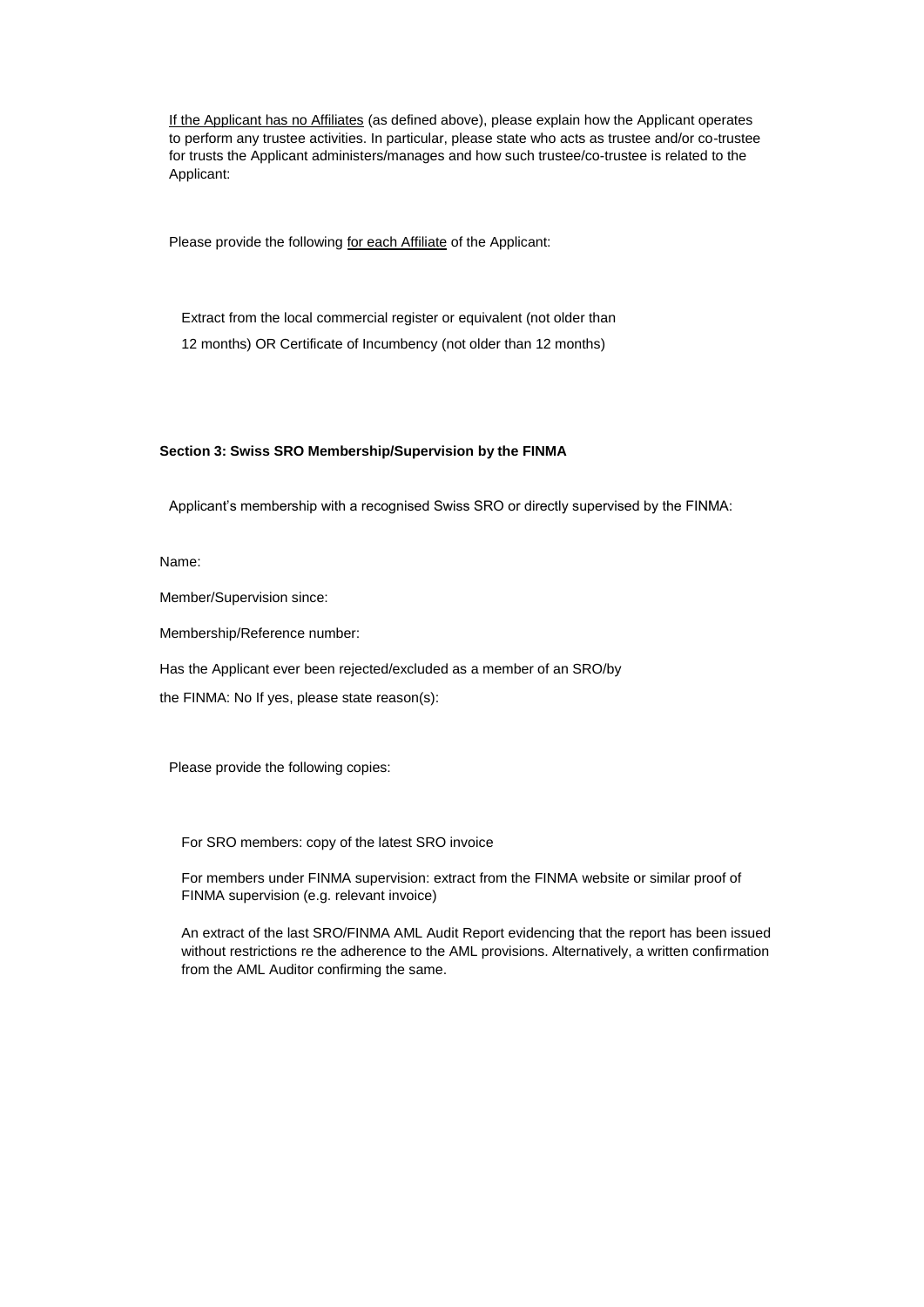If the Applicant has no Affiliates (as defined above), please explain how the Applicant operates to perform any trustee activities. In particular, please state who acts as trustee and/or co-trustee for trusts the Applicant administers/manages and how such trustee/co-trustee is related to the Applicant:

Please provide the following for each Affiliate of the Applicant:

Extract from the local commercial register or equivalent (not older than 12 months) OR Certificate of Incumbency (not older than 12 months)

#### **Section 3: Swiss SRO Membership/Supervision by the FINMA**

Applicant's membership with a recognised Swiss SRO or directly supervised by the FINMA:

#### Name:

Member/Supervision since:

Membership/Reference number:

Has the Applicant ever been rejected/excluded as a member of an SRO/by

the FINMA: No If yes, please state reason(s):

Please provide the following copies:

For SRO members: copy of the latest SRO invoice

For members under FINMA supervision: extract from the FINMA website or similar proof of FINMA supervision (e.g. relevant invoice)

An extract of the last SRO/FINMA AML Audit Report evidencing that the report has been issued without restrictions re the adherence to the AML provisions. Alternatively, a written confirmation from the AML Auditor confirming the same.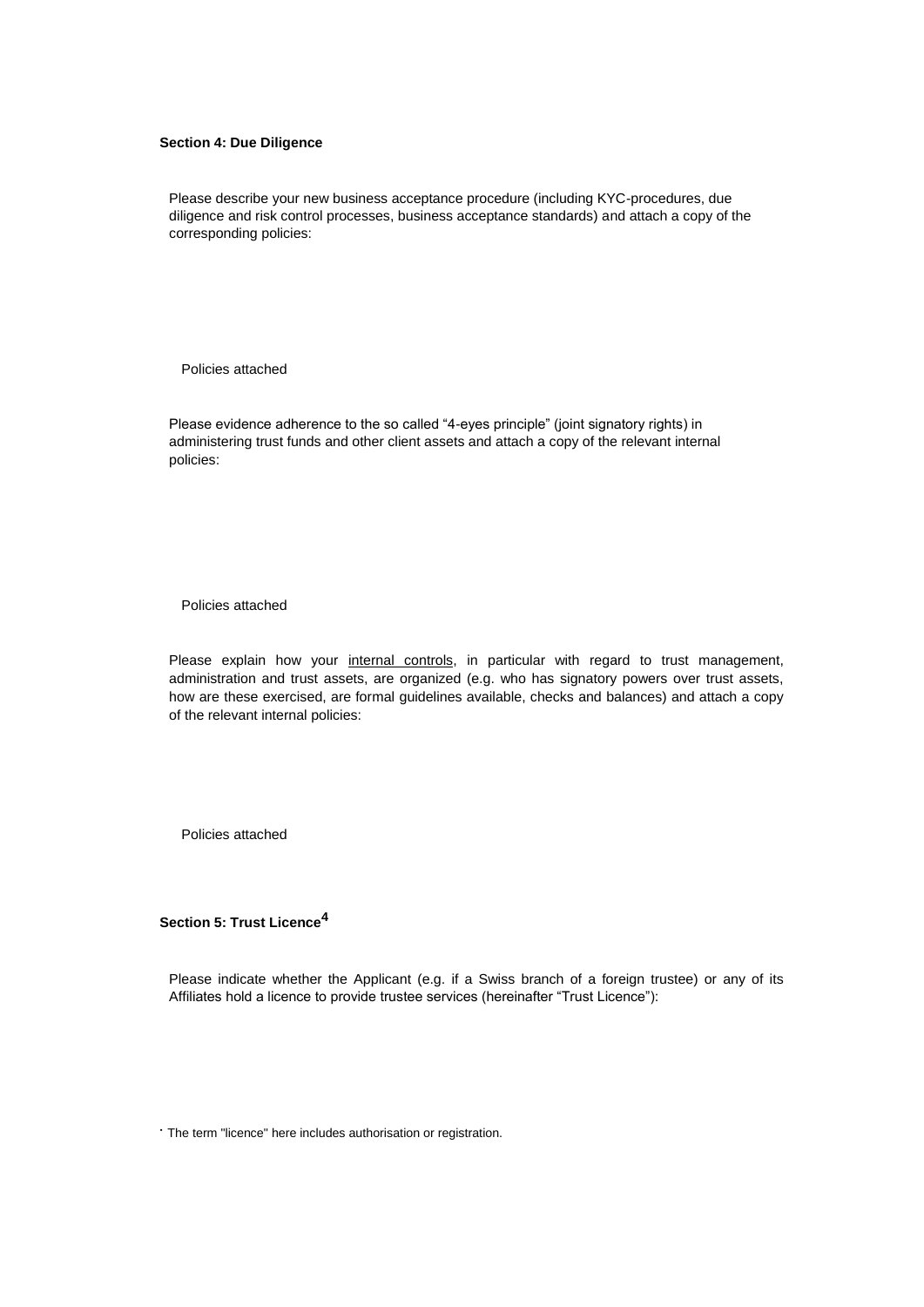#### **Section 4: Due Diligence**

Please describe your new business acceptance procedure (including KYC-procedures, due diligence and risk control processes, business acceptance standards) and attach a copy of the corresponding policies:

Policies attached

Please evidence adherence to the so called "4-eyes principle" (joint signatory rights) in administering trust funds and other client assets and attach a copy of the relevant internal policies:

Policies attached

Please explain how your internal controls, in particular with regard to trust management, administration and trust assets, are organized (e.g. who has signatory powers over trust assets, how are these exercised, are formal guidelines available, checks and balances) and attach a copy of the relevant internal policies:

Policies attached

**Section 5: Trust Licence<sup>4</sup>**

Please indicate whether the Applicant (e.g. if a Swiss branch of a foreign trustee) or any of its Affiliates hold a licence to provide trustee services (hereinafter "Trust Licence"):

• The term "licence" here includes authorisation or registration.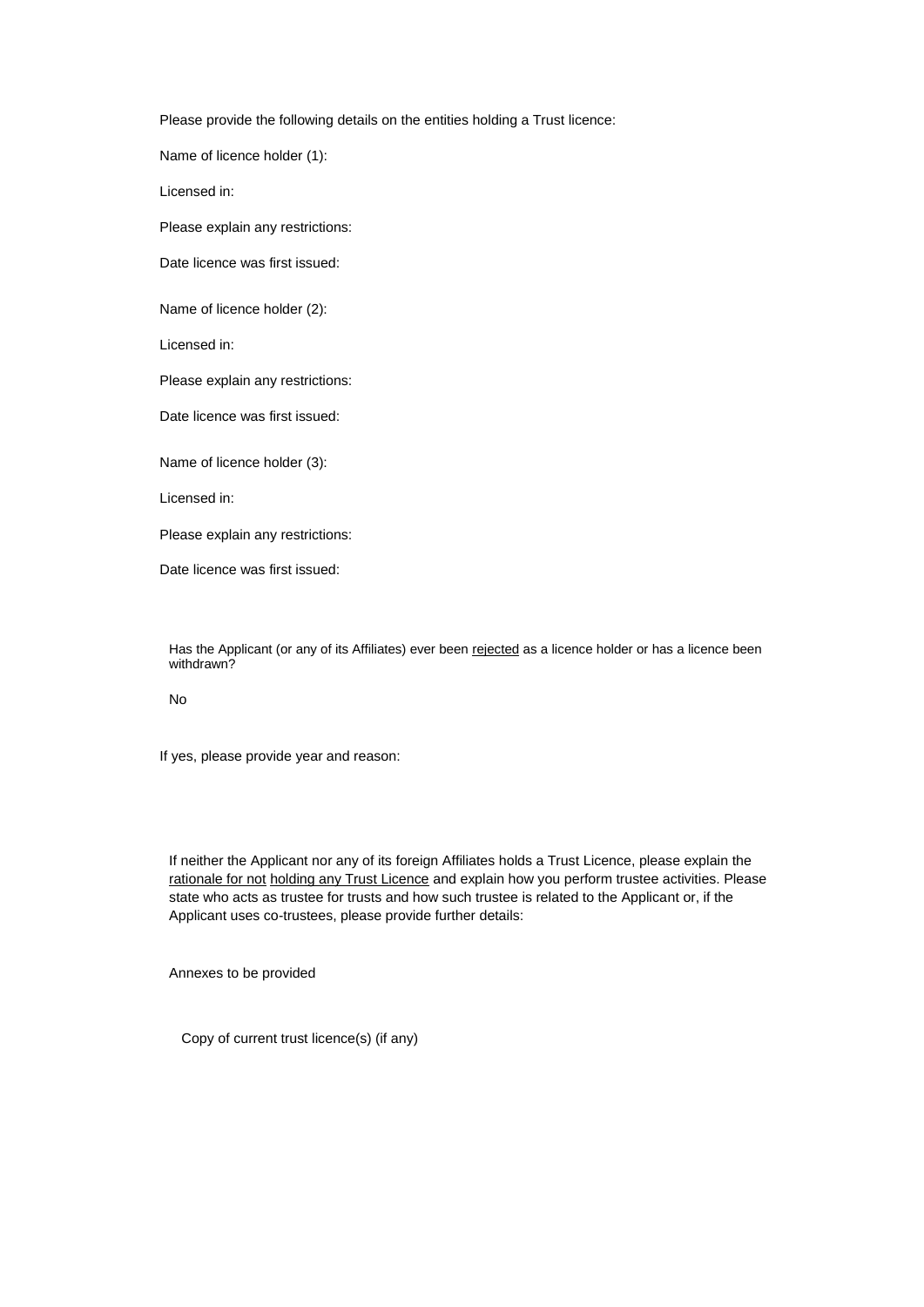Please provide the following details on the entities holding a Trust licence:

Name of licence holder (1):

Licensed in:

Please explain any restrictions:

Date licence was first issued:

Name of licence holder (2):

Licensed in:

Please explain any restrictions:

Date licence was first issued:

Name of licence holder (3):

Licensed in:

Please explain any restrictions:

Date licence was first issued:

Has the Applicant (or any of its Affiliates) ever been rejected as a licence holder or has a licence been withdrawn?

No

If yes, please provide year and reason:

If neither the Applicant nor any of its foreign Affiliates holds a Trust Licence, please explain the rationale for not holding any Trust Licence and explain how you perform trustee activities. Please state who acts as trustee for trusts and how such trustee is related to the Applicant or, if the Applicant uses co-trustees, please provide further details:

Annexes to be provided

Copy of current trust licence(s) (if any)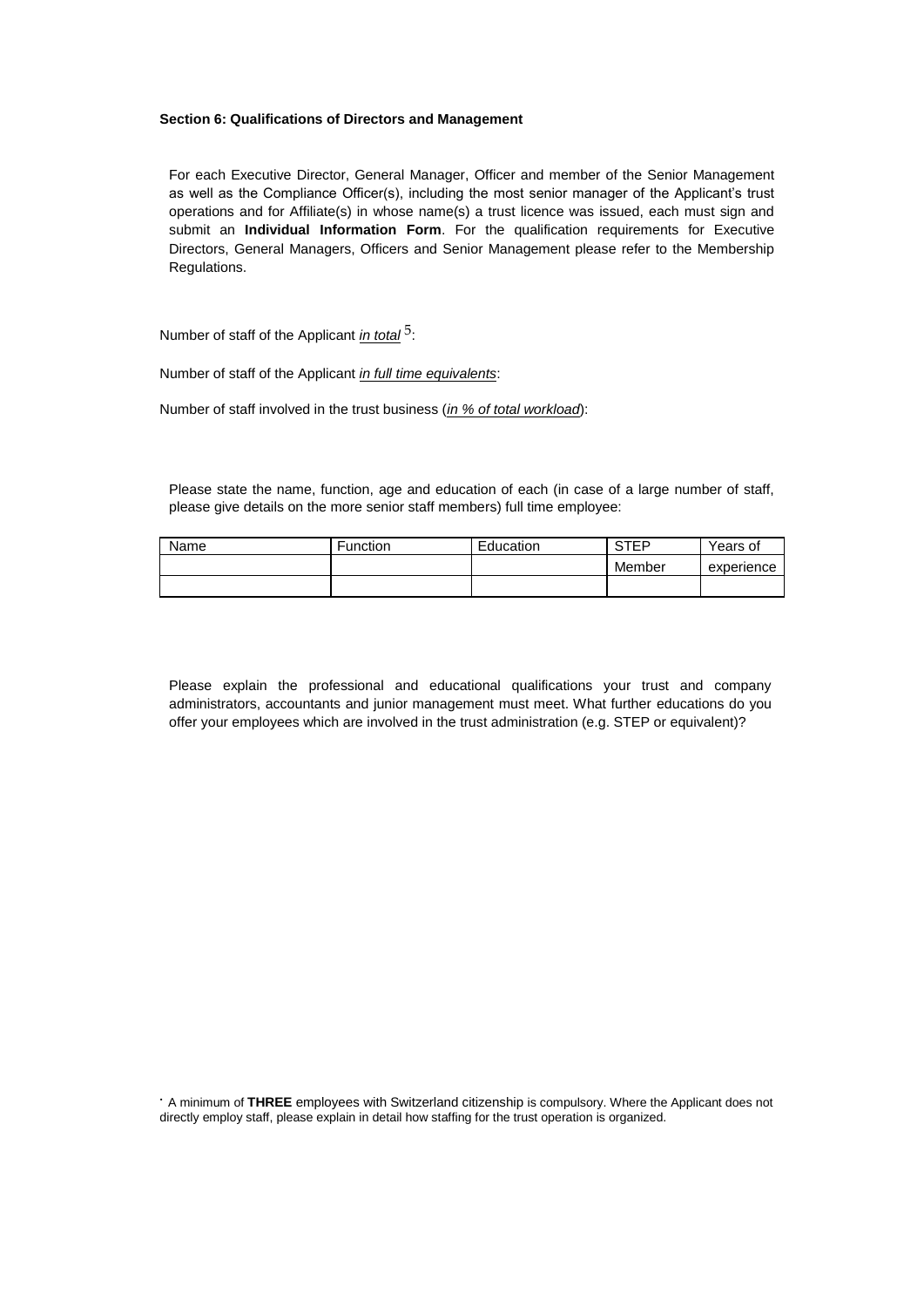#### **Section 6: Qualifications of Directors and Management**

For each Executive Director, General Manager, Officer and member of the Senior Management as well as the Compliance Officer(s), including the most senior manager of the Applicant's trust operations and for Affiliate(s) in whose name(s) a trust licence was issued, each must sign and submit an **Individual Information Form**. For the qualification requirements for Executive Directors, General Managers, Officers and Senior Management please refer to the Membership Regulations.

Number of staff of the Applicant *in total*<sup>5</sup>:

Number of staff of the Applicant *in full time equivalents*:

Number of staff involved in the trust business (*in % of total workload*):

Please state the name, function, age and education of each (in case of a large number of staff, please give details on the more senior staff members) full time employee:

| Name | Function | Education | STEP   | Years of   |
|------|----------|-----------|--------|------------|
|      |          |           | Member | experience |
|      |          |           |        |            |

Please explain the professional and educational qualifications your trust and company administrators, accountants and junior management must meet. What further educations do you offer your employees which are involved in the trust administration (e.g. STEP or equivalent)?

• A minimum of **THREE** employees with Switzerland citizenship is compulsory. Where the Applicant does not directly employ staff, please explain in detail how staffing for the trust operation is organized.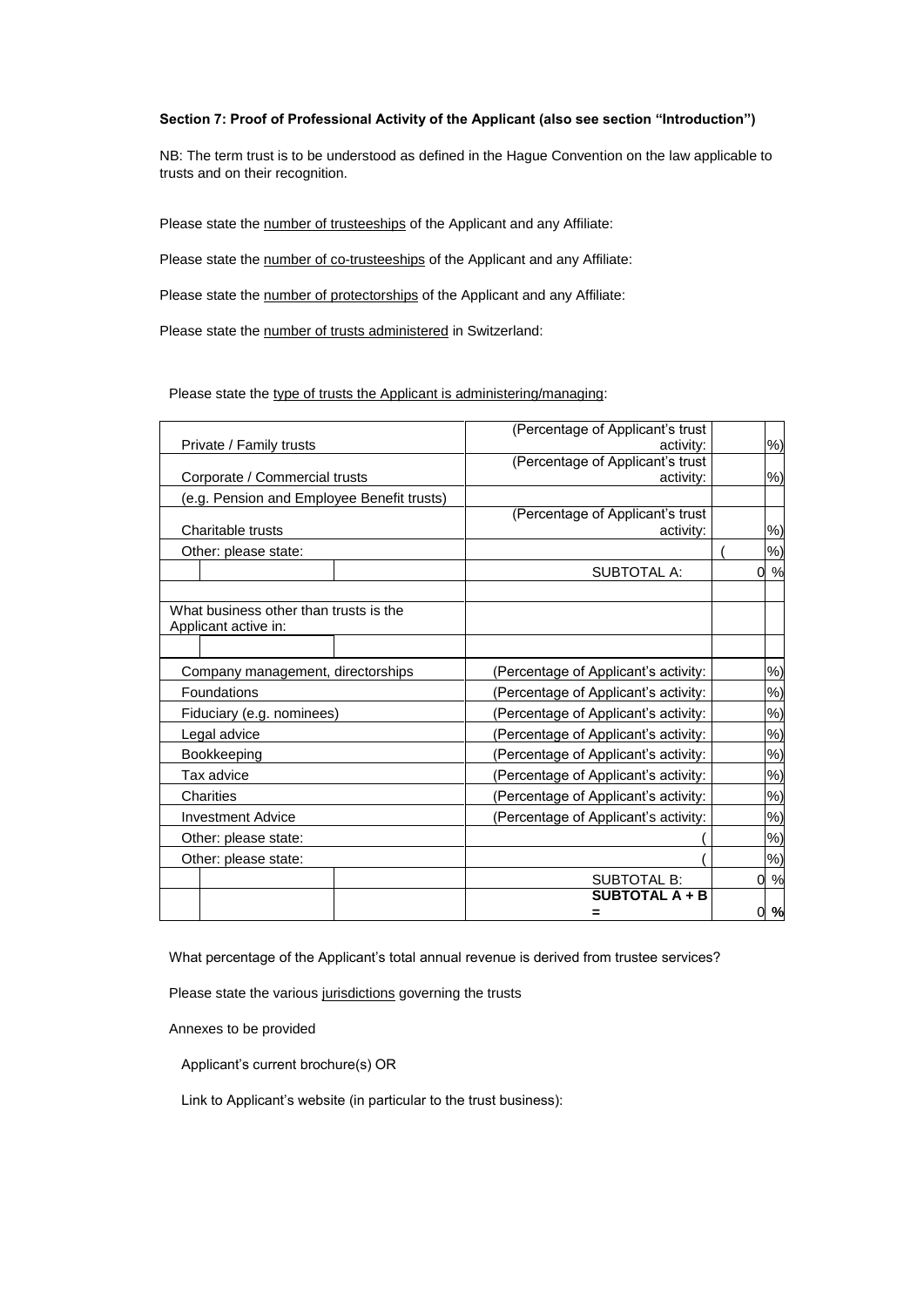## **Section 7: Proof of Professional Activity of the Applicant (also see section "Introduction")**

NB: The term trust is to be understood as defined in the Hague Convention on the law applicable to trusts and on their recognition.

Please state the number of trusteeships of the Applicant and any Affiliate:

Please state the number of co-trusteeships of the Applicant and any Affiliate:

Please state the number of protectorships of the Applicant and any Affiliate:

Please state the number of trusts administered in Switzerland:

## Please state the type of trusts the Applicant is administering/managing:

|                                   |                                            | (Percentage of Applicant's trust     |           |
|-----------------------------------|--------------------------------------------|--------------------------------------|-----------|
| Private / Family trusts           |                                            | activity:                            | %)        |
|                                   |                                            | (Percentage of Applicant's trust     |           |
|                                   | Corporate / Commercial trusts              | activity:                            | %)        |
|                                   | (e.g. Pension and Employee Benefit trusts) |                                      |           |
|                                   |                                            | (Percentage of Applicant's trust     |           |
| Charitable trusts                 |                                            | activity:                            | %)        |
| Other: please state:              |                                            |                                      | %)        |
|                                   |                                            | SUBTOTAL A:                          | $\%$<br>0 |
|                                   |                                            |                                      |           |
|                                   | What business other than trusts is the     |                                      |           |
| Applicant active in:              |                                            |                                      |           |
|                                   |                                            |                                      |           |
| Company management, directorships |                                            | (Percentage of Applicant's activity: | %)        |
| Foundations                       |                                            | (Percentage of Applicant's activity: | %)        |
| Fiduciary (e.g. nominees)         |                                            | (Percentage of Applicant's activity: | %)        |
| Legal advice                      |                                            | (Percentage of Applicant's activity: | %)        |
| Bookkeeping                       |                                            | (Percentage of Applicant's activity: | %)        |
| Tax advice                        |                                            | (Percentage of Applicant's activity: | %         |
| Charities                         |                                            | (Percentage of Applicant's activity: | %)        |
| <b>Investment Advice</b>          |                                            | (Percentage of Applicant's activity: | %)        |
| Other: please state:              |                                            |                                      | %)        |
| Other: please state:              |                                            |                                      | %)        |
|                                   |                                            | <b>SUBTOTAL B:</b>                   | $\%$<br>0 |
|                                   |                                            | <b>SUBTOTAL A + B</b>                |           |
|                                   |                                            | =                                    | %<br>0    |

What percentage of the Applicant's total annual revenue is derived from trustee services?

Please state the various jurisdictions governing the trusts

Annexes to be provided

Applicant's current brochure(s) OR

Link to Applicant's website (in particular to the trust business):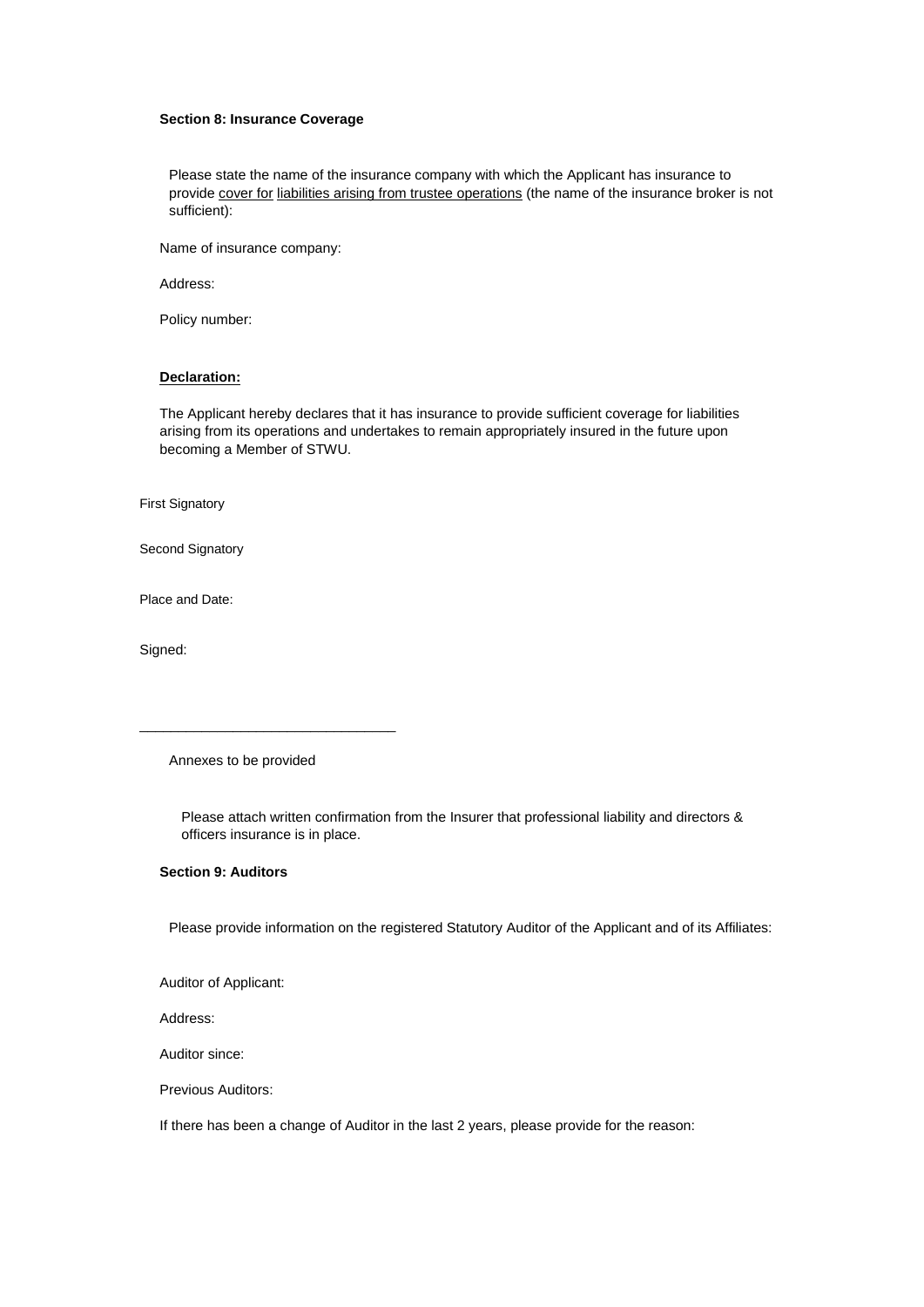#### **Section 8: Insurance Coverage**

Please state the name of the insurance company with which the Applicant has insurance to provide cover for liabilities arising from trustee operations (the name of the insurance broker is not sufficient):

Name of insurance company:

Address:

Policy number:

#### **Declaration:**

The Applicant hereby declares that it has insurance to provide sufficient coverage for liabilities arising from its operations and undertakes to remain appropriately insured in the future upon becoming a Member of STWU.

First Signatory

Second Signatory

Place and Date:

Signed:

Annexes to be provided

\_\_\_\_\_\_\_\_\_\_\_\_\_\_\_\_\_\_\_\_\_\_\_\_\_\_\_\_\_\_\_\_\_

Please attach written confirmation from the Insurer that professional liability and directors & officers insurance is in place.

### **Section 9: Auditors**

Please provide information on the registered Statutory Auditor of the Applicant and of its Affiliates:

Auditor of Applicant:

Address:

Auditor since:

Previous Auditors:

If there has been a change of Auditor in the last 2 years, please provide for the reason: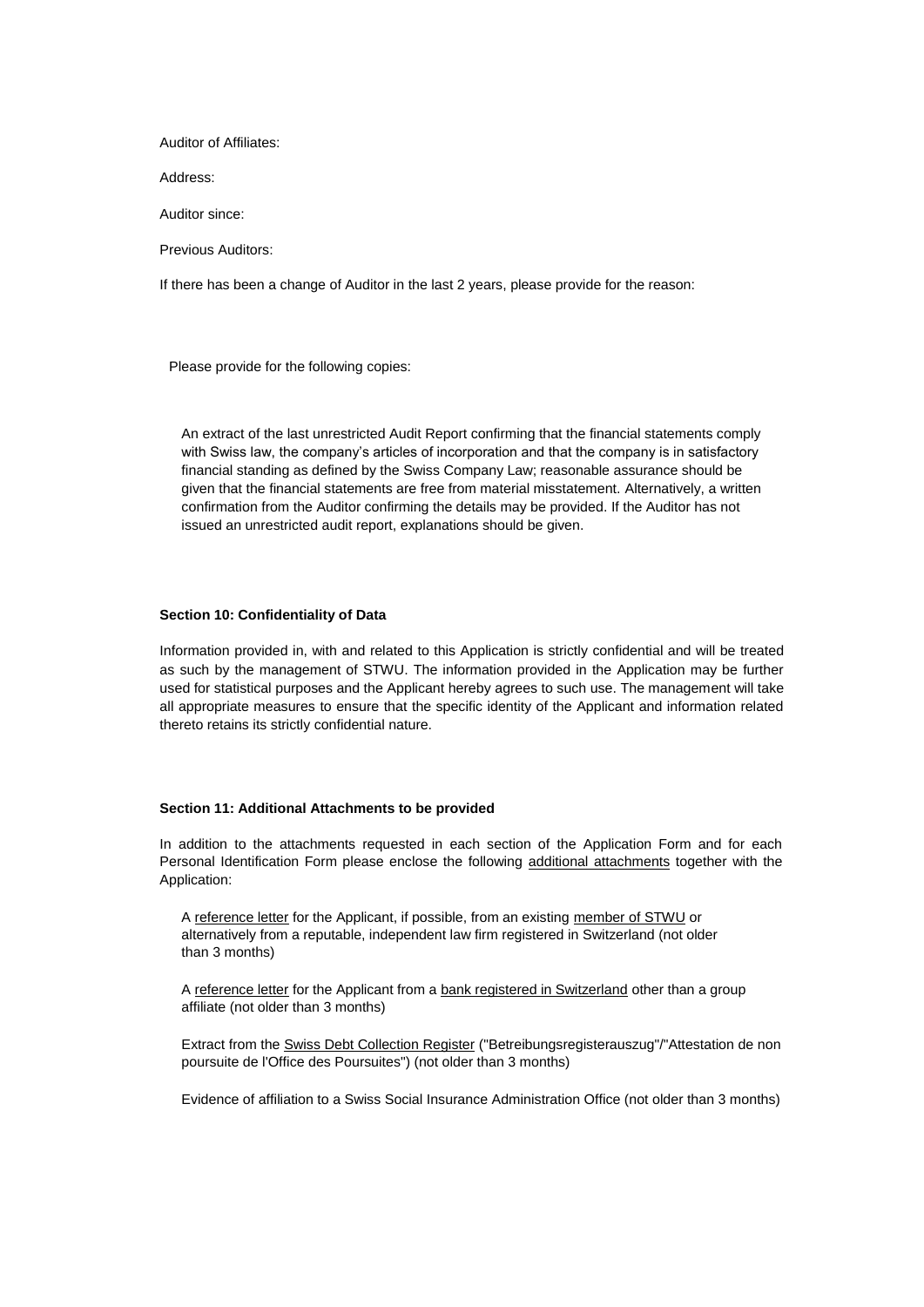Auditor of Affiliates:

Address:

Auditor since:

Previous Auditors:

If there has been a change of Auditor in the last 2 years, please provide for the reason:

Please provide for the following copies:

An extract of the last unrestricted Audit Report confirming that the financial statements comply with Swiss law, the company's articles of incorporation and that the company is in satisfactory financial standing as defined by the Swiss Company Law; reasonable assurance should be given that the financial statements are free from material misstatement. Alternatively, a written confirmation from the Auditor confirming the details may be provided. If the Auditor has not issued an unrestricted audit report, explanations should be given.

#### **Section 10: Confidentiality of Data**

Information provided in, with and related to this Application is strictly confidential and will be treated as such by the management of STWU. The information provided in the Application may be further used for statistical purposes and the Applicant hereby agrees to such use. The management will take all appropriate measures to ensure that the specific identity of the Applicant and information related thereto retains its strictly confidential nature.

#### **Section 11: Additional Attachments to be provided**

In addition to the attachments requested in each section of the Application Form and for each Personal Identification Form please enclose the following additional attachments together with the Application:

A reference letter for the Applicant, if possible, from an existing member of STWU or alternatively from a reputable, independent law firm registered in Switzerland (not older than 3 months)

A reference letter for the Applicant from a bank registered in Switzerland other than a group affiliate (not older than 3 months)

Extract from the Swiss Debt Collection Register ("Betreibungsregisterauszug"/"Attestation de non poursuite de l'Office des Poursuites") (not older than 3 months)

Evidence of affiliation to a Swiss Social Insurance Administration Office (not older than 3 months)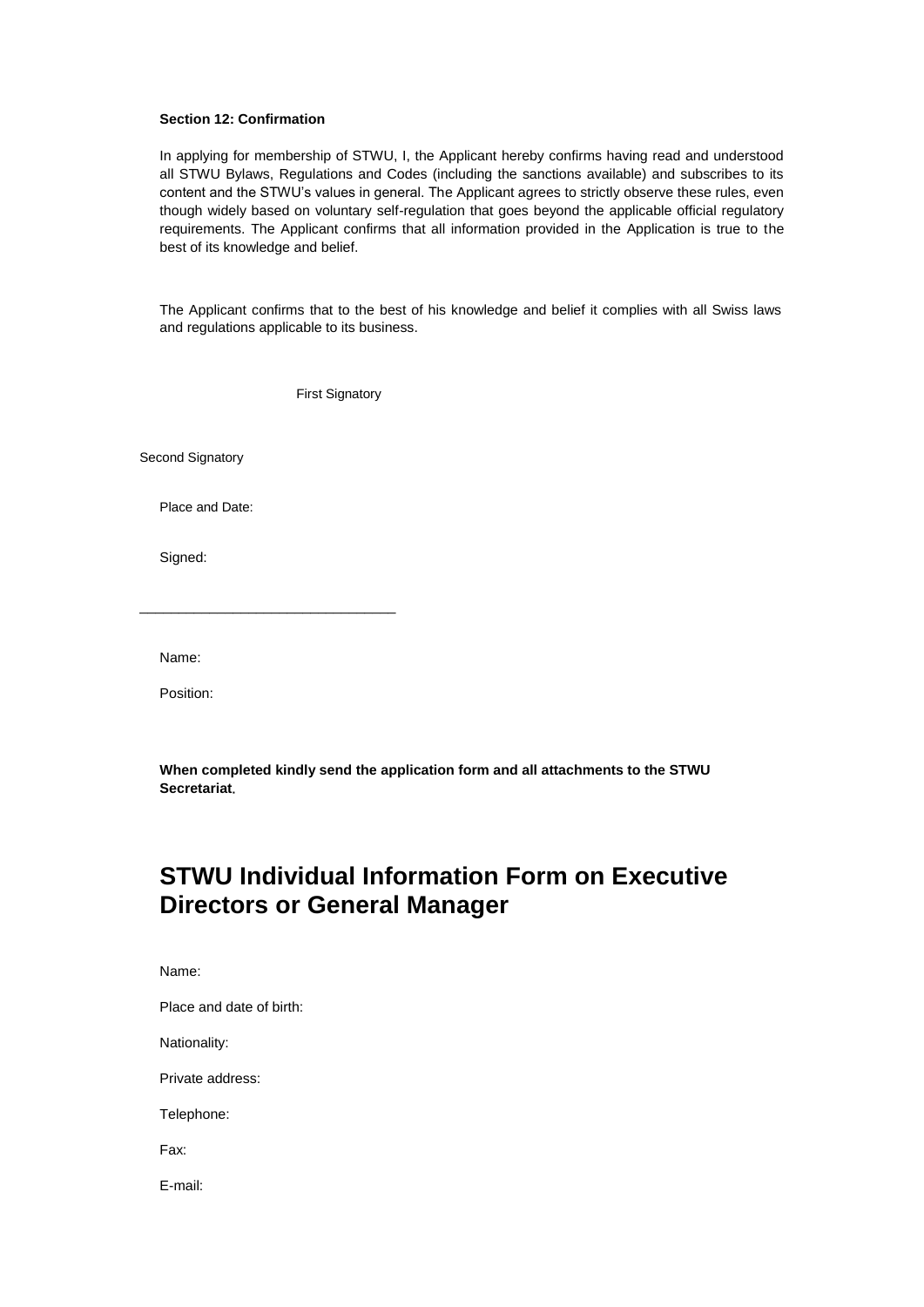#### **Section 12: Confirmation**

In applying for membership of STWU, I, the Applicant hereby confirms having read and understood all STWU Bylaws, Regulations and Codes (including the sanctions available) and subscribes to its content and the STWU's values in general. The Applicant agrees to strictly observe these rules, even though widely based on voluntary self-regulation that goes beyond the applicable official regulatory requirements. The Applicant confirms that all information provided in the Application is true to the best of its knowledge and belief.

The Applicant confirms that to the best of his knowledge and belief it complies with all Swiss laws and regulations applicable to its business.

First Signatory

Second Signatory

Place and Date:

\_\_\_\_\_\_\_\_\_\_\_\_\_\_\_\_\_\_\_\_\_\_\_\_\_\_\_\_\_\_\_\_\_

Signed:

Name:

Position:

**When completed kindly send the application form and all attachments to the STWU Secretariat.**

# **STWU Individual Information Form on Executive Directors or General Manager**

Name:

Place and date of birth:

Nationality:

Private address:

Telephone:

Fax:

E-mail: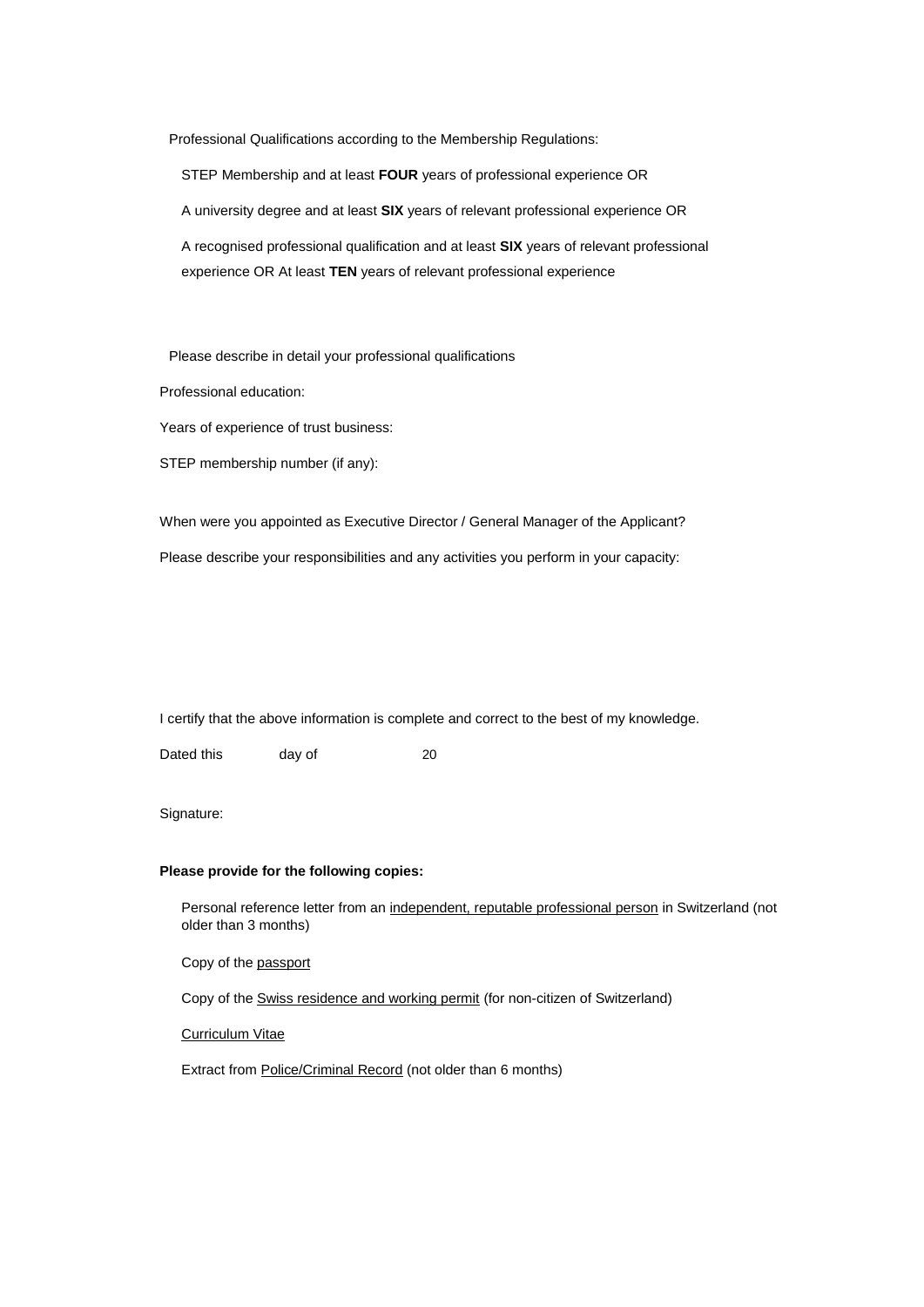Professional Qualifications according to the Membership Regulations:

STEP Membership and at least **FOUR** years of professional experience OR

A university degree and at least **SIX** years of relevant professional experience OR

A recognised professional qualification and at least **SIX** years of relevant professional experience OR At least **TEN** years of relevant professional experience

Please describe in detail your professional qualifications

Professional education:

Years of experience of trust business:

STEP membership number (if any):

When were you appointed as Executive Director / General Manager of the Applicant? Please describe your responsibilities and any activities you perform in your capacity:

I certify that the above information is complete and correct to the best of my knowledge.

Dated this day of 20

Signature:

#### **Please provide for the following copies:**

Personal reference letter from an independent, reputable professional person in Switzerland (not older than 3 months)

Copy of the passport

Copy of the Swiss residence and working permit (for non-citizen of Switzerland)

Curriculum Vitae

Extract from Police/Criminal Record (not older than 6 months)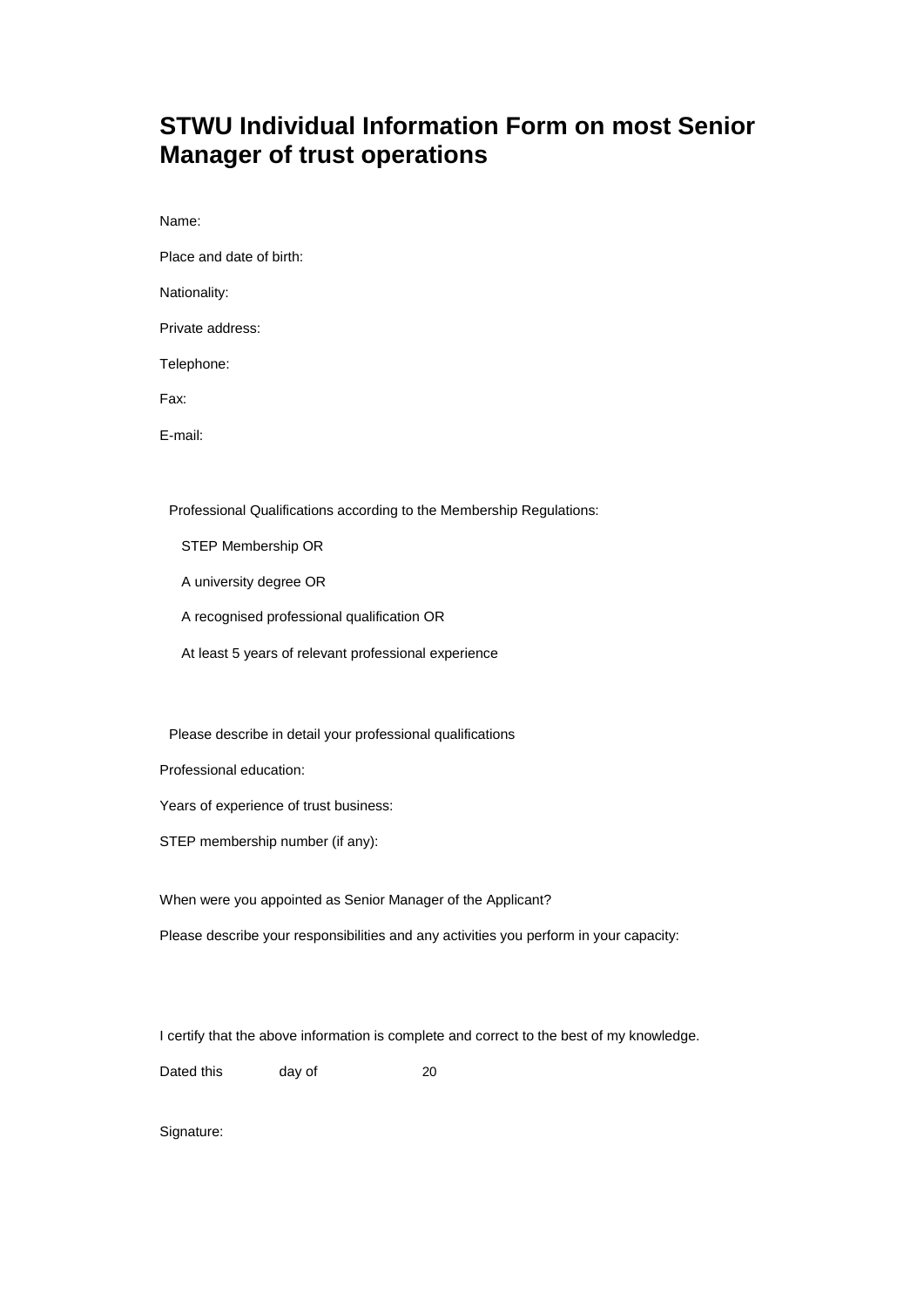# **STWU Individual Information Form on most Senior Manager of trust operations**

Name:

Place and date of birth:

Nationality:

Private address:

Telephone:

Fax:

E-mail:

Professional Qualifications according to the Membership Regulations:

STEP Membership OR

A university degree OR

A recognised professional qualification OR

At least 5 years of relevant professional experience

Please describe in detail your professional qualifications

Professional education:

Years of experience of trust business:

STEP membership number (if any):

When were you appointed as Senior Manager of the Applicant?

Please describe your responsibilities and any activities you perform in your capacity:

I certify that the above information is complete and correct to the best of my knowledge.

Dated this day of 20

Signature: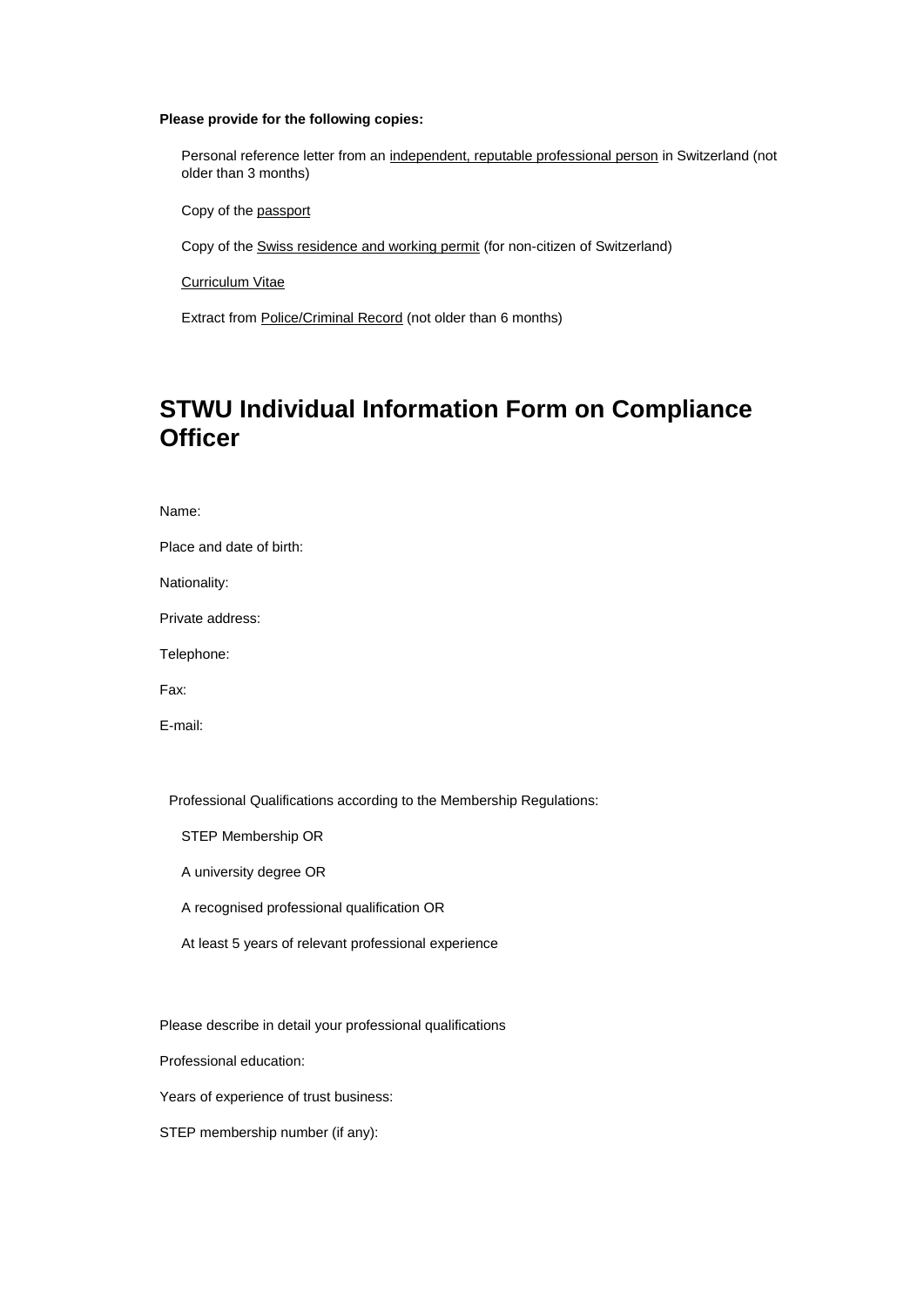#### **Please provide for the following copies:**

Personal reference letter from an independent, reputable professional person in Switzerland (not older than 3 months)

Copy of the passport

Copy of the Swiss residence and working permit (for non-citizen of Switzerland)

Curriculum Vitae

Extract from Police/Criminal Record (not older than 6 months)

# **STWU Individual Information Form on Compliance Officer**

Place and date of birth:

Nationality:

Private address:

Telephone:

Fax:

E-mail:

Professional Qualifications according to the Membership Regulations:

STEP Membership OR

A university degree OR

A recognised professional qualification OR

At least 5 years of relevant professional experience

Please describe in detail your professional qualifications

Professional education:

Years of experience of trust business:

STEP membership number (if any):